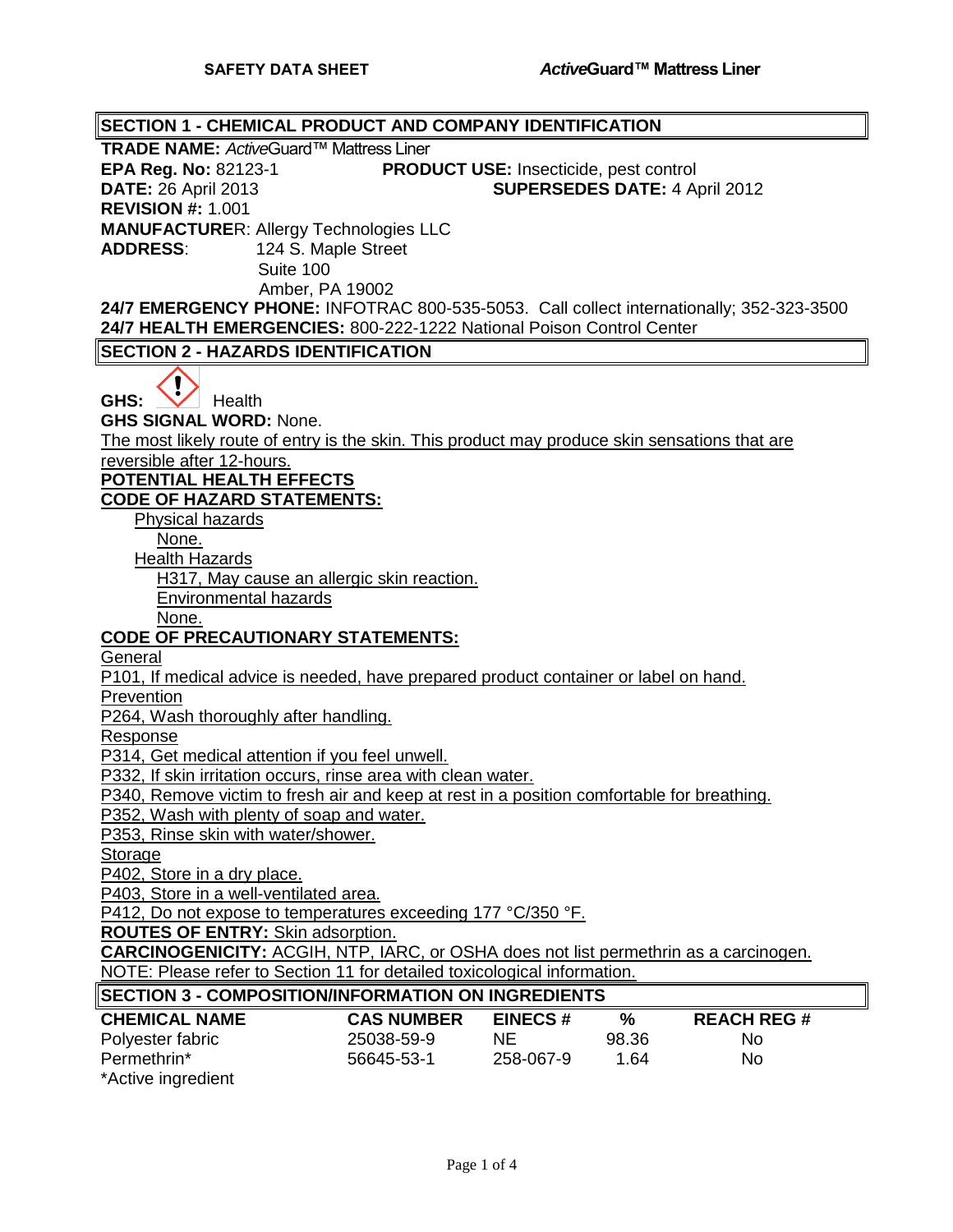**SECTION 1 - CHEMICAL PRODUCT AND COMPANY IDENTIFICATION TRADE NAME:** *Active*Guard™ Mattress Liner **EPA Reg. No:** 82123-1 **PRODUCT USE:** Insecticide, pest control **DATE:** 26 April 2013 **SUPERSEDES DATE:** 4 April 2012 **REVISION #:** 1.001 **MANUFACTURE**R: Allergy Technologies LLC **ADDRESS**: 124 S. Maple Street Suite 100 Amber, PA 19002 **24/7 EMERGENCY PHONE:** INFOTRAC 800-535-5053. Call collect internationally; 352-323-3500 **24/7 HEALTH EMERGENCIES:** 800-222-1222 National Poison Control Center **SECTION 2 - HAZARDS IDENTIFICATION** GHS: **W** Health **GHS SIGNAL WORD:** None. The most likely route of entry is the skin. This product may produce skin sensations that are reversible after 12-hours. **POTENTIAL HEALTH EFFECTS CODE OF HAZARD STATEMENTS:** Physical hazards None. Health Hazards H317, May cause an allergic skin reaction. Environmental hazards None. **CODE OF PRECAUTIONARY STATEMENTS: General** P101, If medical advice is needed, have prepared product container or label on hand. **Prevention** P264, Wash thoroughly after handling. Response P314, Get medical attention if you feel unwell. P332, If skin irritation occurs, rinse area with clean water. P340, Remove victim to fresh air and keep at rest in a position comfortable for breathing. P352, Wash with plenty of soap and water. P353, Rinse skin with water/shower. Storage P402, Store in a dry place. P403, Store in a well-ventilated area. P412, Do not expose to temperatures exceeding 177 °C/350 °F. **ROUTES OF ENTRY:** Skin adsorption. **CARCINOGENICITY:** ACGIH, NTP, IARC, or OSHA does not list permethrin as a carcinogen. NOTE: Please refer to Section 11 for detailed toxicological information. **SECTION 3 - COMPOSITION/INFORMATION ON INGREDIENTS CHEMICAL NAME CAS NUMBER EINECS # % REACH REG #** Polyester fabric 25038-59-9 NE 98.36 No Permethrin\* 56645-53-1 258-067-9 1.64 No \*Active ingredient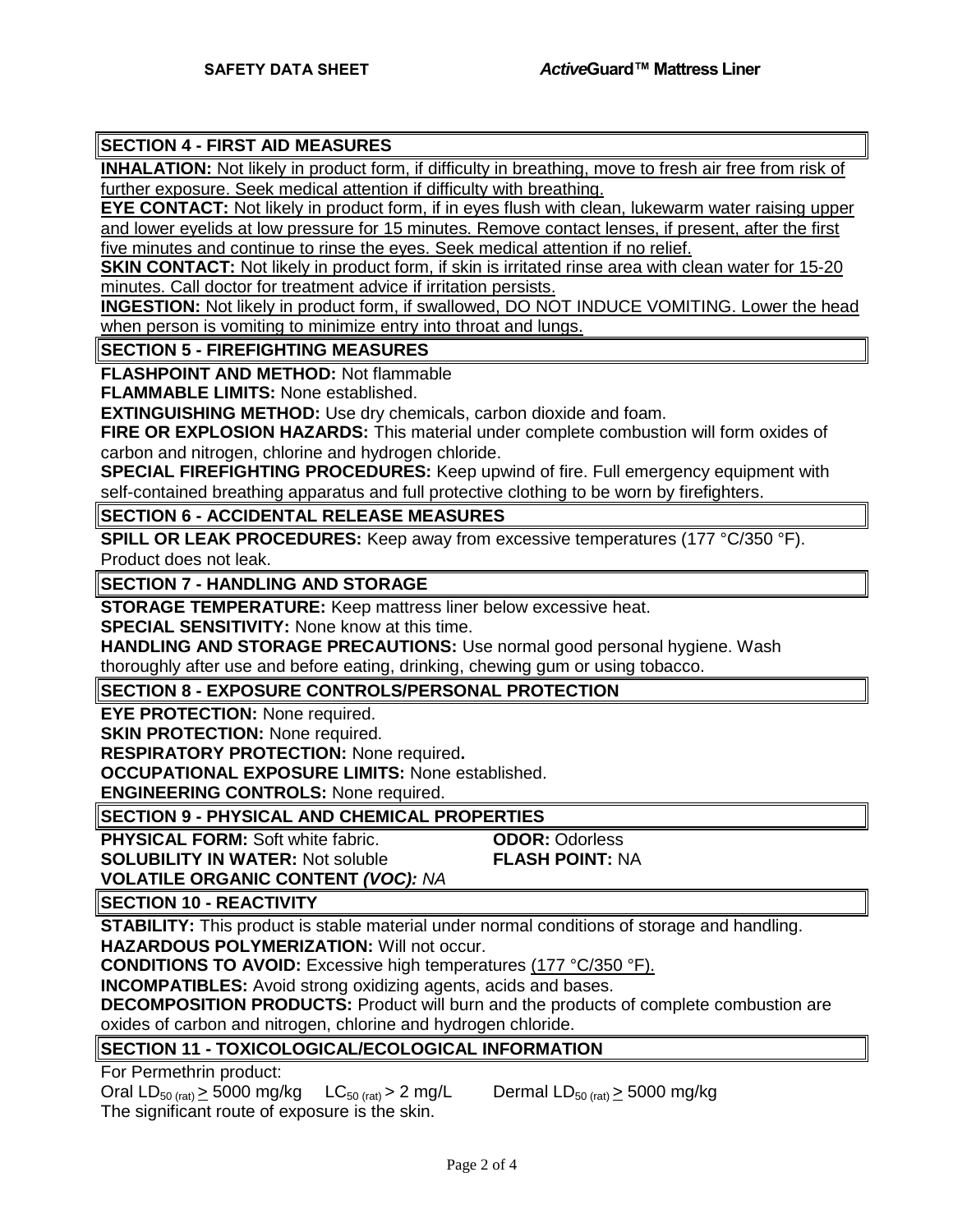# **SECTION 4 - FIRST AID MEASURES**

**INHALATION:** Not likely in product form, if difficulty in breathing, move to fresh air free from risk of further exposure. Seek medical attention if difficulty with breathing.

**EYE CONTACT:** Not likely in product form, if in eyes flush with clean, lukewarm water raising upper and lower eyelids at low pressure for 15 minutes. Remove contact lenses, if present, after the first five minutes and continue to rinse the eyes. Seek medical attention if no relief.

**SKIN CONTACT:** Not likely in product form, if skin is irritated rinse area with clean water for 15-20 minutes. Call doctor for treatment advice if irritation persists.

**INGESTION:** Not likely in product form, if swallowed, DO NOT INDUCE VOMITING. Lower the head when person is vomiting to minimize entry into throat and lungs.

**SECTION 5 - FIREFIGHTING MEASURES**

**FLASHPOINT AND METHOD:** Not flammable

**FLAMMABLE LIMITS:** None established.

**EXTINGUISHING METHOD:** Use dry chemicals, carbon dioxide and foam.

**FIRE OR EXPLOSION HAZARDS:** This material under complete combustion will form oxides of carbon and nitrogen, chlorine and hydrogen chloride.

**SPECIAL FIREFIGHTING PROCEDURES:** Keep upwind of fire. Full emergency equipment with self-contained breathing apparatus and full protective clothing to be worn by firefighters.

**SECTION 6 - ACCIDENTAL RELEASE MEASURES**

**SPILL OR LEAK PROCEDURES:** Keep away from excessive temperatures (177 °C/350 °F). Product does not leak.

**SECTION 7 - HANDLING AND STORAGE**

**STORAGE TEMPERATURE:** Keep mattress liner below excessive heat.

**SPECIAL SENSITIVITY:** None know at this time.

**HANDLING AND STORAGE PRECAUTIONS:** Use normal good personal hygiene. Wash

thoroughly after use and before eating, drinking, chewing gum or using tobacco.

**SECTION 8 - EXPOSURE CONTROLS/PERSONAL PROTECTION**

**EYE PROTECTION: None required.** 

**SKIN PROTECTION: None required.** 

**RESPIRATORY PROTECTION:** None required**.**

**OCCUPATIONAL EXPOSURE LIMITS:** None established.

**ENGINEERING CONTROLS:** None required.

**SECTION 9 - PHYSICAL AND CHEMICAL PROPERTIES**

**PHYSICAL FORM:** Soft white fabric. **ODOR:** Odorless **SOLUBILITY IN WATER:** Not soluble **FLASH POINT:** NA **VOLATILE ORGANIC CONTENT** *(VOC): NA*

**SECTION 10 - REACTIVITY**

**STABILITY:** This product is stable material under normal conditions of storage and handling.

**HAZARDOUS POLYMERIZATION:** Will not occur.

**CONDITIONS TO AVOID:** Excessive high temperatures (177 °C/350 °F).

**INCOMPATIBLES:** Avoid strong oxidizing agents, acids and bases.

**DECOMPOSITION PRODUCTS:** Product will burn and the products of complete combustion are oxides of carbon and nitrogen, chlorine and hydrogen chloride.

# **SECTION 11 - TOXICOLOGICAL/ECOLOGICAL INFORMATION**

For Permethrin product:

Oral LD<sub>50 (rat)</sub>  $\geq$  5000 mg/kg LC<sub>50 (rat)</sub>  $>$  2 mg/L Dermal LD<sub>50 (rat)</sub>  $\geq$  5000 mg/kg The significant route of exposure is the skin.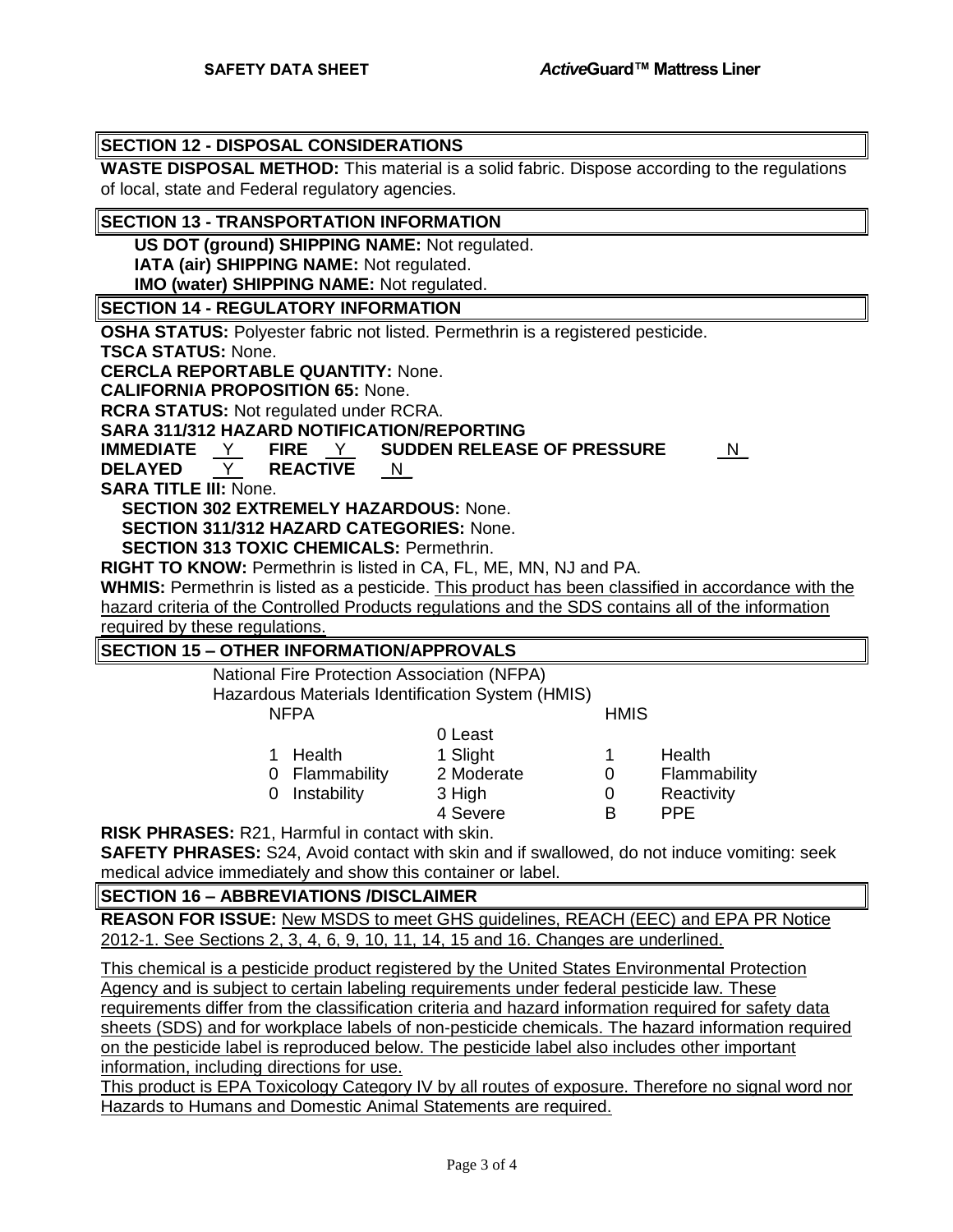## **SECTION 12 - DISPOSAL CONSIDERATIONS**

**WASTE DISPOSAL METHOD:** This material is a solid fabric. Dispose according to the regulations of local, state and Federal regulatory agencies.

#### **SECTION 13 - TRANSPORTATION INFORMATION**

**US DOT (ground) SHIPPING NAME:** Not regulated.

**IATA (air) SHIPPING NAME:** Not regulated.

**IMO (water) SHIPPING NAME:** Not regulated.

#### **SECTION 14 - REGULATORY INFORMATION**

**OSHA STATUS:** Polyester fabric not listed. Permethrin is a registered pesticide.

**TSCA STATUS:** None.

**CERCLA REPORTABLE QUANTITY:** None.

**CALIFORNIA PROPOSITION 65:** None.

**RCRA STATUS:** Not regulated under RCRA.

**SARA 311/312 HAZARD NOTIFICATION/REPORTING**

**IMMEDIATE** Y **FIRE** Y **SUDDEN RELEASE OF PRESSURE** N\_

**DELAYED** Y **REACTIVE** N\_

**SARA TITLE III:** None.

**SECTION 302 EXTREMELY HAZARDOUS:** None.

**SECTION 311/312 HAZARD CATEGORIES:** None.

**SECTION 313 TOXIC CHEMICALS:** Permethrin.

**RIGHT TO KNOW:** Permethrin is listed in CA, FL, ME, MN, NJ and PA.

**WHMIS:** Permethrin is listed as a pesticide. This product has been classified in accordance with the hazard criteria of the Controlled Products regulations and the SDS contains all of the information

required by these regulations.

## **SECTION 15 – OTHER INFORMATION/APPROVALS**

National Fire Protection Association (NFPA)

Hazardous Materials Identification System (HMIS)

NFPA HMIS

| <u>u Leasi</u>                              |   |               |
|---------------------------------------------|---|---------------|
| 1 Slight                                    | 1 | <b>Health</b> |
| 2 Moderate                                  | O | Flammability  |
| 3 High                                      | O | Reactivity    |
| 4 Severe                                    | R | <b>PPF</b>    |
| 1 Health<br>0 Flammability<br>0 Instability |   |               |

 $0 \text{$   $0 \text{ }$   $0 \text{ }$   $0 \text{ }$   $0 \text{ }$   $0 \text{ }$   $0 \text{ }$   $0 \text{ }$   $0 \text{ }$   $0 \text{ }$   $0 \text{ }$   $0 \text{ }$   $0 \text{ }$   $0 \text{ }$   $0 \text{ }$   $0 \text{ }$   $0 \text{ }$   $0 \text{ }$   $0 \text{ }$   $0 \text{ }$   $0 \text{ }$   $0 \text{ }$   $0 \text{ }$   $0 \text{ }$   $0 \text{ }$   $0 \text{ }$   $0 \text{ }$   $0 \text{$ 

**RISK PHRASES:** R21, Harmful in contact with skin.

**SAFETY PHRASES:** S24, Avoid contact with skin and if swallowed, do not induce vomiting: seek medical advice immediately and show this container or label.

## **SECTION 16 – ABBREVIATIONS /DISCLAIMER**

**REASON FOR ISSUE:** New MSDS to meet GHS guidelines, REACH (EEC) and EPA PR Notice 2012-1. See Sections 2, 3, 4, 6, 9, 10, 11, 14, 15 and 16. Changes are underlined.

This chemical is a pesticide product registered by the United States Environmental Protection Agency and is subject to certain labeling requirements under federal pesticide law. These requirements differ from the classification criteria and hazard information required for safety data sheets (SDS) and for workplace labels of non-pesticide chemicals. The hazard information required on the pesticide label is reproduced below. The pesticide label also includes other important information, including directions for use.

This product is EPA Toxicology Category IV by all routes of exposure. Therefore no signal word nor Hazards to Humans and Domestic Animal Statements are required.